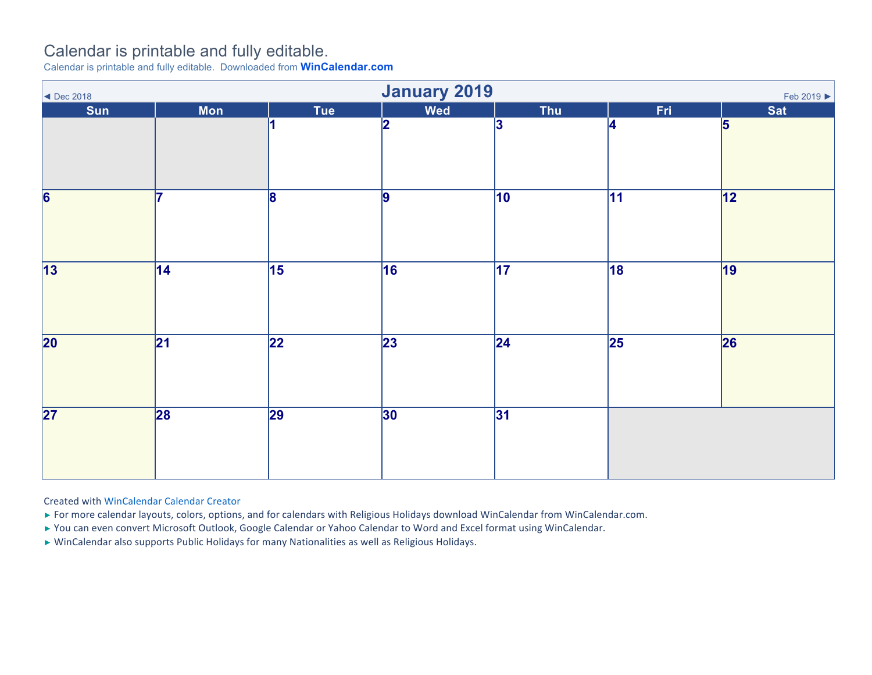## Calendar is printable and fully editable.

Calendar is printable and fully editable. Downloaded from **WinCalendar.com**

| <b>January 2019</b><br>Feb 2019 $\blacktriangleright$<br>$\blacktriangleleft$ Dec 2018 |                 |                 |                 |                 |                 |                 |  |  |
|----------------------------------------------------------------------------------------|-----------------|-----------------|-----------------|-----------------|-----------------|-----------------|--|--|
| Sun                                                                                    | <b>Mon</b>      | Tue             | Wed             | Thu             | Fri             | <b>Sat</b>      |  |  |
|                                                                                        |                 |                 | 2               | 3               | 4               | 5               |  |  |
| 6                                                                                      | 17              | 8               | 9               | $\overline{10}$ | $\overline{11}$ | $\overline{12}$ |  |  |
| $\overline{13}$                                                                        | $\overline{14}$ | $\overline{15}$ | 16              | $\overline{17}$ | 18              | 19              |  |  |
| $\overline{20}$                                                                        | $\overline{21}$ | $\overline{22}$ | $\overline{23}$ | $\overline{24}$ | $\overline{25}$ | 26              |  |  |
| $\overline{\mathbf{27}}$                                                               | 28              | $\overline{29}$ | 30              | 31              |                 |                 |  |  |

Created with WinCalendar Calendar Creator

- ► For more calendar layouts, colors, options, and for calendars with Religious Holidays download WinCalendar from WinCalendar.com.
- ► You can even convert Microsoft Outlook, Google Calendar or Yahoo Calendar to Word and Excel format using WinCalendar.
- ► WinCalendar also supports Public Holidays for many Nationalities as well as Religious Holidays.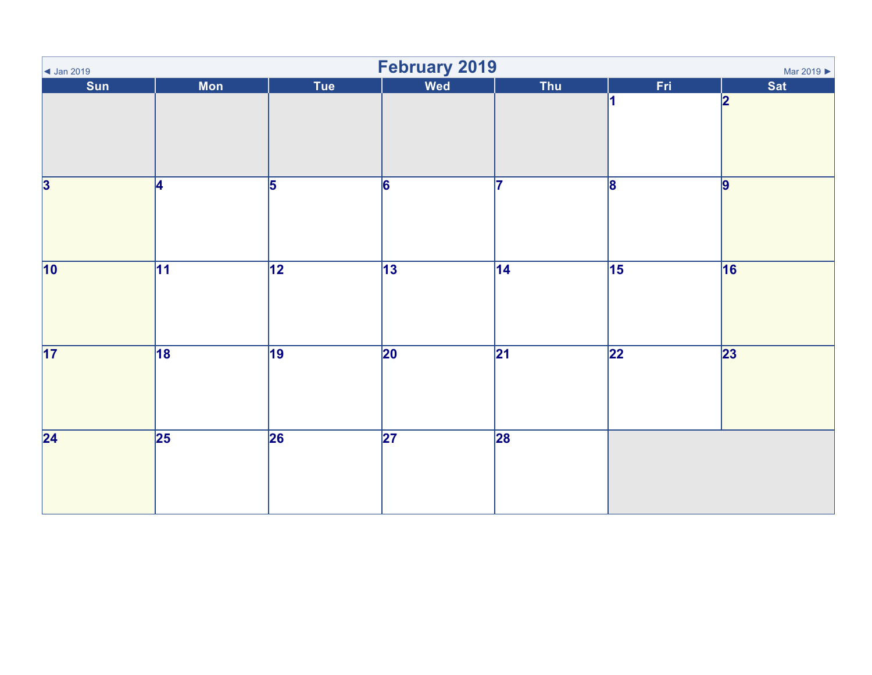| $\vert$ Jan 2019          | February 2019<br>Mar 2019 |                 |                 |                 |                 |                |  |  |
|---------------------------|---------------------------|-----------------|-----------------|-----------------|-----------------|----------------|--|--|
| Sun                       | <b>Mon</b>                | Tue             | Wed             | Thu             | Fri             | <b>Sat</b>     |  |  |
|                           |                           |                 |                 |                 |                 | 2              |  |  |
| $\overline{\overline{3}}$ | 4                         | $\overline{5}$  | $\overline{6}$  | 7               | $\overline{8}$  | $\overline{9}$ |  |  |
| 10                        | $\overline{11}$           | $\overline{12}$ | $\overline{13}$ | $\overline{14}$ | 15              | 16             |  |  |
| 17                        | 18                        | $\overline{19}$ | $\overline{20}$ | $\overline{21}$ | $\overline{22}$ | 23             |  |  |
| $\overline{24}$           | 25                        | $\overline{26}$ | $\overline{27}$ | 28              |                 |                |  |  |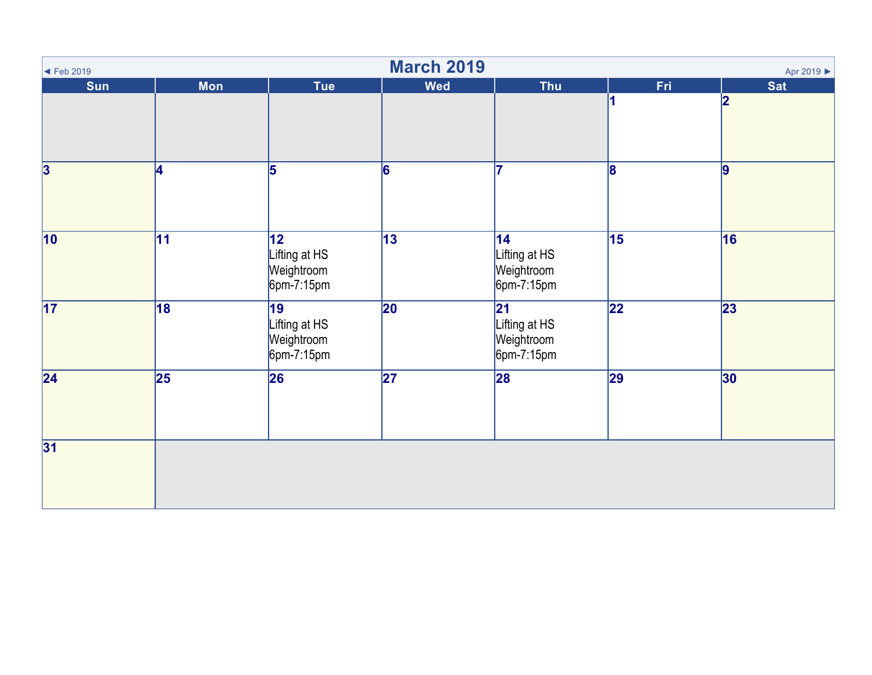| $\blacktriangleleft$ Feb 2019 | <b>March 2019</b><br>Apr 2019 ▶ |                                                    |                 |                                                     |                 |                                       |  |  |  |  |
|-------------------------------|---------------------------------|----------------------------------------------------|-----------------|-----------------------------------------------------|-----------------|---------------------------------------|--|--|--|--|
| Sun                           | <b>Mon</b>                      | <b>Tue</b>                                         | <b>Wed</b>      | <b>Thu</b>                                          | Fri             | <b>Sat</b><br>$\overline{\mathbf{2}}$ |  |  |  |  |
| $\overline{\mathbf{3}}$       | 4                               | 5                                                  | 6               | 17                                                  | 8               | $\vert$ 9                             |  |  |  |  |
| $\overline{10}$               | $\overline{11}$                 | 12<br>Lifting at HS<br>Weightroom<br>$6$ pm-7:15pm | 13              | 14 <br>Lifting at HS<br>Weightroom<br>$6$ pm-7:15pm | $\overline{15}$ | 16                                    |  |  |  |  |
| 17                            | 18                              | 19<br>Lifting at HS<br>Weightroom<br>$6$ pm-7:15pm | $ 20\rangle$    | 21<br>Lifting at HS<br>Weightroom<br>$6$ pm-7:15pm  | $\overline{22}$ | $\overline{23}$                       |  |  |  |  |
| $\overline{24}$               | $\overline{25}$                 | 26                                                 | $\overline{27}$ | 28                                                  | $\overline{29}$ | 30                                    |  |  |  |  |
| 31                            |                                 |                                                    |                 |                                                     |                 |                                       |  |  |  |  |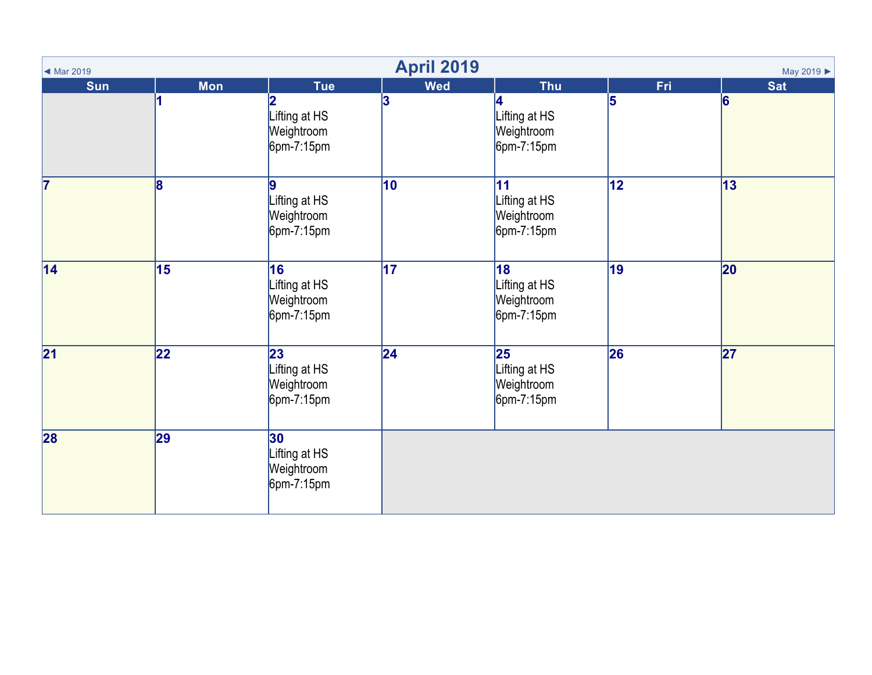| ◀ Mar 2019      |                 |                                                    | <b>April 2019</b> |                                                                          |                 | May 2019        |
|-----------------|-----------------|----------------------------------------------------|-------------------|--------------------------------------------------------------------------|-----------------|-----------------|
| Sun             | <b>Mon</b>      | <b>Tue</b>                                         | <b>Wed</b>        | <b>Thu</b>                                                               | Fri             | <b>Sat</b>      |
|                 |                 | Lifting at HS<br>Weightroom<br>$6$ pm-7:15pm       | 3                 | Lifting at HS<br>Weightroom<br>$6$ pm-7:15pm                             | 5               | 6               |
| 17              | 8               | Lifting at HS<br>Weightroom<br>$6pm-7:15pm$        | 10                | 11<br>Lifting at HS<br>Weightroom<br>$6$ pm-7:15pm                       | $\overline{12}$ | 13              |
| $\overline{14}$ | $\overline{15}$ | 16<br>Lifting at HS<br>Weightroom<br>$6pm-7:15pm$  | $\overline{17}$   | 18<br>Lifting at HS<br>Weightroom<br>$6$ pm-7:15pm                       | $\overline{19}$ | 20              |
| $\overline{21}$ | 22              | 23<br>Lifting at HS<br>Weightroom<br>$6$ pm-7:15pm | $ 24\rangle$      | $\overline{\mathbf{25}}$<br>Lifting at HS<br>Weightroom<br>$6$ pm-7:15pm | 26              | $\overline{27}$ |
| 28              | 29              | 30<br>Lifting at HS<br>Weightroom<br>$6$ pm-7:15pm |                   |                                                                          |                 |                 |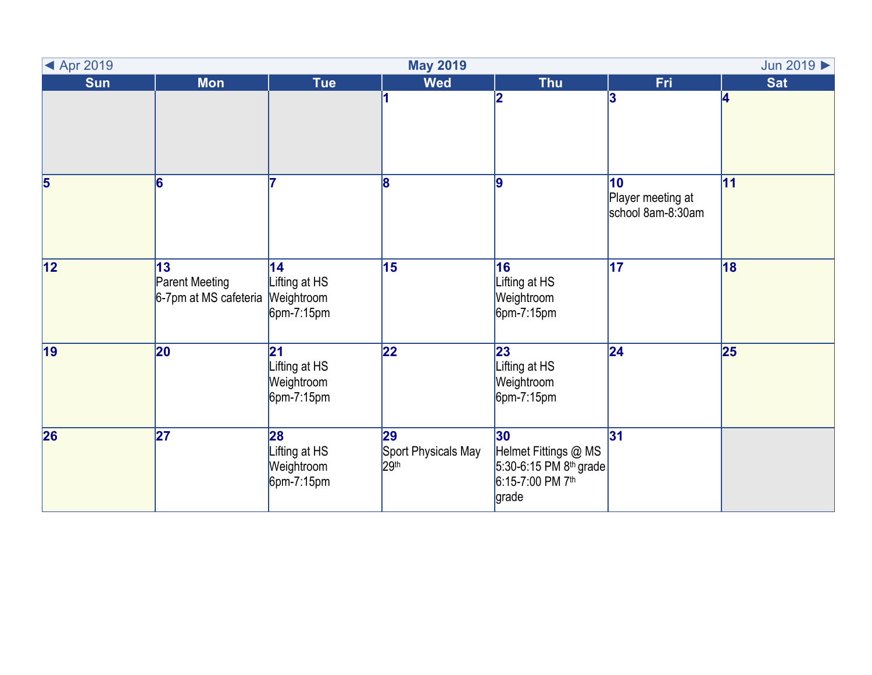| ◀ Apr 2019<br><b>May 2019</b><br>Jun 2019 > |                                                      |                                                    |                                               |                                                                                               |                                              |            |  |  |
|---------------------------------------------|------------------------------------------------------|----------------------------------------------------|-----------------------------------------------|-----------------------------------------------------------------------------------------------|----------------------------------------------|------------|--|--|
| <b>Sun</b>                                  | <b>Mon</b>                                           | <b>Tue</b>                                         | <b>Wed</b>                                    | <b>Thu</b>                                                                                    | <b>Fri</b>                                   | <b>Sat</b> |  |  |
|                                             |                                                      |                                                    | 1                                             |                                                                                               | 3                                            | 4          |  |  |
| $\overline{\mathbf{5}}$                     | 6                                                    |                                                    | 18                                            | 9                                                                                             | 10<br>Player meeting at<br>school 8am-8:30am | 11         |  |  |
| $\overline{12}$                             | 13<br><b>Parent Meeting</b><br>6-7pm at MS cafeteria | 14<br>Lifting at HS<br>Weightroom<br>$6$ pm-7:15pm | 15                                            | 16<br>Lifting at HS<br>Weightroom<br>$6$ pm-7:15pm                                            | 17                                           | 18         |  |  |
| 19                                          | 20                                                   | 21<br>Lifting at HS<br>Weightroom<br>$6$ pm-7:15pm | 22                                            | 23<br>Lifting at HS<br>Weightroom<br>$6$ pm-7:15pm                                            | 24                                           | 25         |  |  |
| 26                                          | 27                                                   | 28<br>Lifting at HS<br>Weightroom<br>$6$ pm-7:15pm | 29<br>Sport Physicals May<br>29 <sup>th</sup> | 30<br>Helmet Fittings @ MS<br>5:30-6:15 PM 8 <sup>th</sup> grade<br>6:15-7:00 PM 7th<br>grade | 31                                           |            |  |  |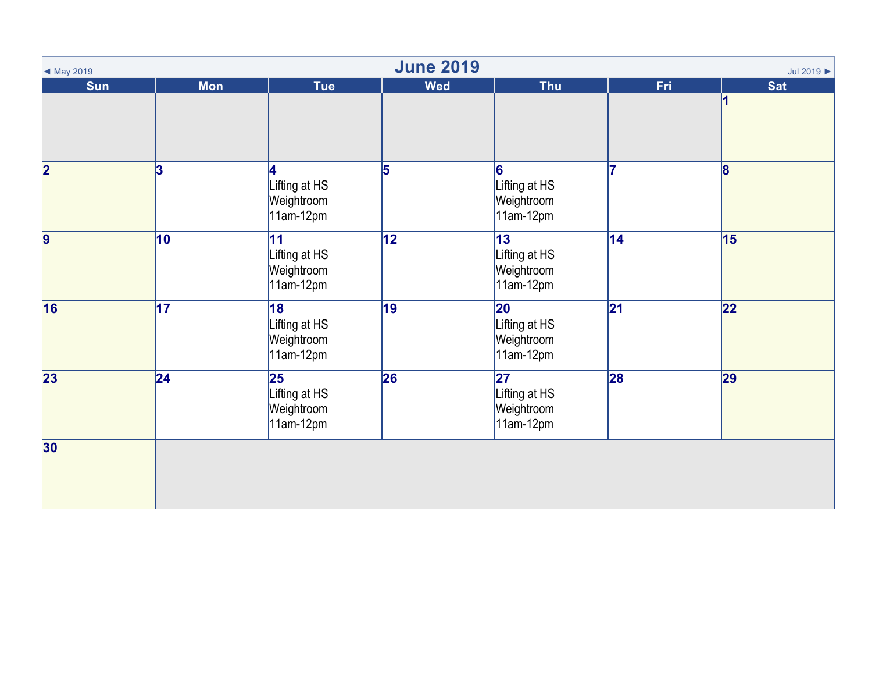| $\blacktriangleleft$ May 2019 | <b>June 2019</b><br>Jul 2019 > |                                                                      |            |                                                               |     |              |  |  |  |
|-------------------------------|--------------------------------|----------------------------------------------------------------------|------------|---------------------------------------------------------------|-----|--------------|--|--|--|
| <b>Sun</b>                    | <b>Mon</b>                     | <b>Tue</b>                                                           | <b>Wed</b> | <b>Thu</b>                                                    | Fri | <b>Sat</b>   |  |  |  |
| $\overline{\mathbf{2}}$       | 3                              | 4<br>Lifting at HS<br>Weightroom<br>$11am-12pm$                      | 5          | 6<br>Lifting at HS<br>Weightroom<br>$11am-12pm$               | 17  | $\mathbf{8}$ |  |  |  |
| 9                             | 10                             | 11<br>Lifting at HS<br>Weightroom<br>$11am-12pm$                     | 12         | 13<br>Lifting at HS<br>Weightroom<br>$11am-12pm$              | 14  | 15           |  |  |  |
| $\overline{16}$               | $\overline{17}$                | 18<br>Lifting at HS<br>Weightroom<br>11am-12pm                       | 19         | 20<br>Lifting at HS<br>Weightroom<br>$11am-12pm$              | 21  | 22           |  |  |  |
| $\overline{23}$               | $\overline{24}$                | $\overline{\mathbf{25}}$<br>Lifting at HS<br>Weightroom<br>11am-12pm | 26         | $\overline{27}$<br>Lifting at HS<br>Weightroom<br>$11am-12pm$ | 28  | 29           |  |  |  |
| 30                            |                                |                                                                      |            |                                                               |     |              |  |  |  |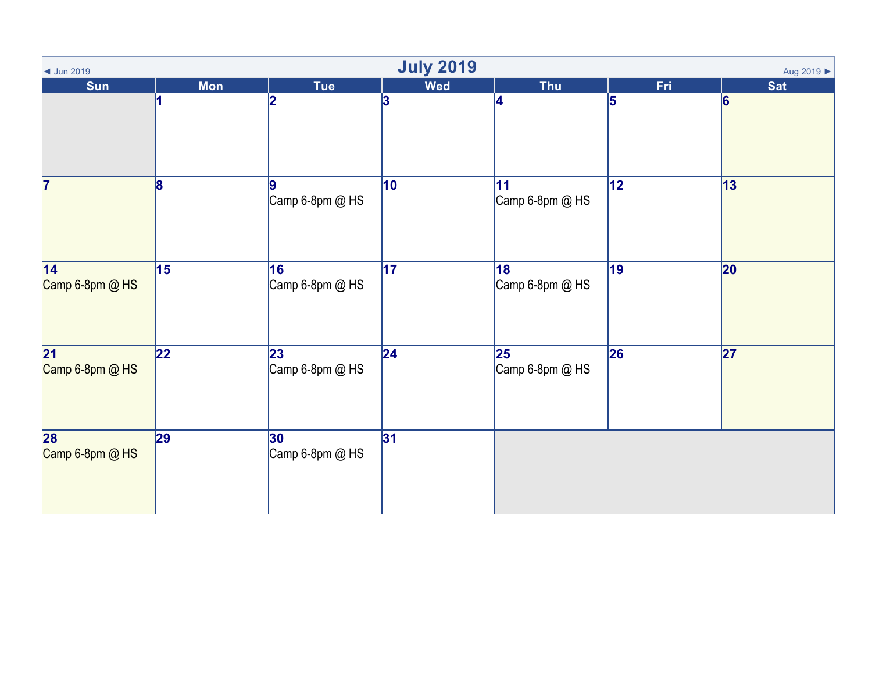| <b>July 2019</b><br>Aug 2019 ▶<br>$\blacktriangleleft$ Jun 2019 |                 |                       |                 |                                             |                 |                 |  |  |
|-----------------------------------------------------------------|-----------------|-----------------------|-----------------|---------------------------------------------|-----------------|-----------------|--|--|
| Sun                                                             | <b>Mon</b>      | <b>Tue</b>            | <b>Wed</b>      | <b>Thu</b>                                  | Fri             | <b>Sat</b>      |  |  |
|                                                                 |                 | 2                     | 3               | 4                                           | 5               | $\vert 6 \vert$ |  |  |
| 17                                                              | 8               | Camp 6-8pm @ HS       | $\overline{10}$ | $\overline{11}$<br>Camp 6-8pm @ HS          | $\overline{12}$ | $\overline{13}$ |  |  |
| $\overline{14}$<br>Camp 6-8pm @ HS                              | $\overline{15}$ | 16<br>Camp 6-8pm @ HS | $\overline{17}$ | 18<br>Camp 6-8pm @ HS                       | $\overline{19}$ | 20              |  |  |
| $\overline{21}$<br>Camp 6-8pm @ HS                              | 22              | 23<br>Camp 6-8pm @ HS | 24              | $\overline{\mathbf{25}}$<br>Camp 6-8pm @ HS | 26              | $\overline{27}$ |  |  |
| 28<br>Camp 6-8pm @ HS                                           | 29              | 30<br>Camp 6-8pm @ HS | 31              |                                             |                 |                 |  |  |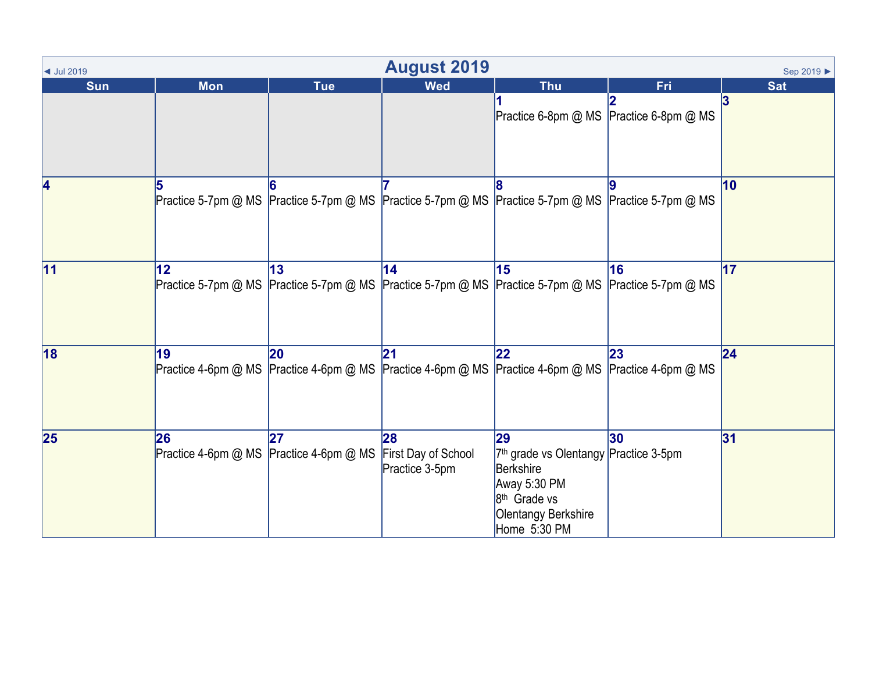| $\blacktriangleleft$ Jul 2019 | <b>August 2019</b><br>Sep 2019 ▶ |                                               |                                             |                                                                                                                                                         |     |            |  |  |  |
|-------------------------------|----------------------------------|-----------------------------------------------|---------------------------------------------|---------------------------------------------------------------------------------------------------------------------------------------------------------|-----|------------|--|--|--|
| <b>Sun</b>                    | <b>Mon</b>                       | <b>Tue</b>                                    | <b>Wed</b>                                  | <b>Thu</b>                                                                                                                                              | Fri | <b>Sat</b> |  |  |  |
|                               |                                  |                                               |                                             | Practice 6-8pm @ MS Practice 6-8pm @ MS                                                                                                                 |     | 3          |  |  |  |
| 4                             |                                  |                                               |                                             | Practice 5-7pm @ MS Practice 5-7pm @ MS Practice 5-7pm @ MS Practice 5-7pm @ MS Practice 5-7pm @ MS                                                     |     | 10         |  |  |  |
| 11                            | 12                               | 13                                            | $\overline{14}$                             | 15<br>Practice 5-7pm @ MS Practice 5-7pm @ MS Practice 5-7pm @ MS Practice 5-7pm @ MS Practice 5-7pm @ MS                                               | 16  | 17         |  |  |  |
| 18                            | 19                               | 20                                            | 21                                          | 22<br>Practice 4-6pm @ MS Practice 4-6pm @ MS Practice 4-6pm @ MS Practice 4-6pm @ MS Practice 4-6pm @ MS                                               | 23  | 24         |  |  |  |
| 25                            | 26                               | 27<br>Practice 4-6pm @ MS Practice 4-6pm @ MS | 28<br>First Day of School<br>Practice 3-5pm | 29<br>7 <sup>th</sup> grade vs Olentangy Practice 3-5pm<br>Berkshire<br>Away 5:30 PM<br>8 <sup>th</sup> Grade vs<br>Olentangy Berkshire<br>Home 5:30 PM | 30  | 31         |  |  |  |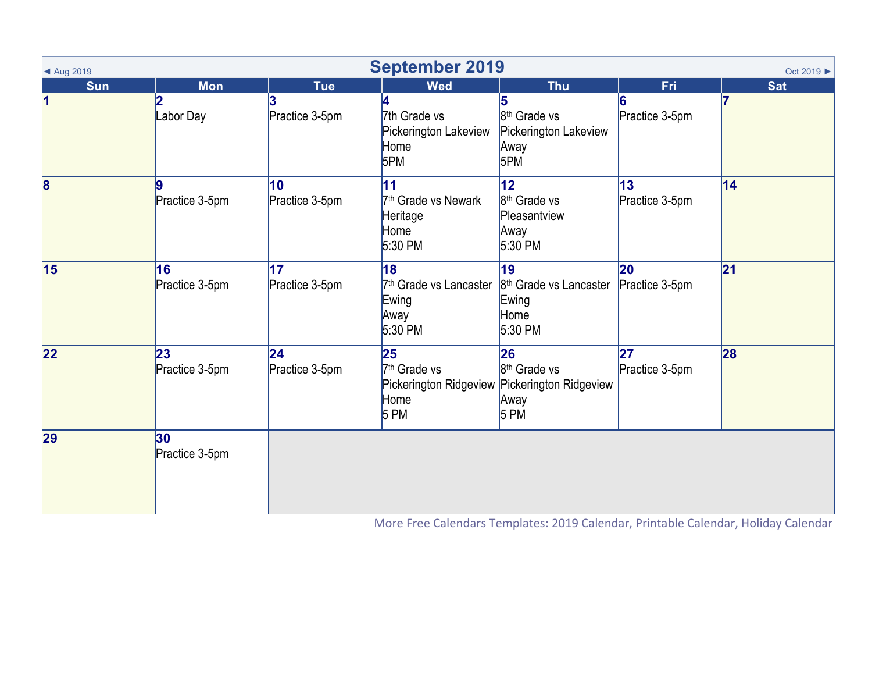| <b>September 2019</b><br>Oct 2019 ▶<br>▲ Aug 2019 |                      |                       |                                                                                   |                                                                                                  |                                   |                 |  |
|---------------------------------------------------|----------------------|-----------------------|-----------------------------------------------------------------------------------|--------------------------------------------------------------------------------------------------|-----------------------------------|-----------------|--|
| <b>Sun</b>                                        | <b>Mon</b>           | <b>Tue</b>            | <b>Wed</b>                                                                        | <b>Thu</b>                                                                                       | Fri                               | <b>Sat</b>      |  |
| 1                                                 | Labor Day            | Practice 3-5pm        | 4<br>7th Grade vs<br>Pickerington Lakeview<br>Home<br>5PM                         | 8 <sup>th</sup> Grade vs<br>Pickerington Lakeview<br>Away<br>5PM                                 | Practice 3-5pm                    |                 |  |
| $\overline{\mathbf{8}}$                           | 9<br>Practice 3-5pm  | 10<br>Practice 3-5pm  | $\overline{11}$<br>7 <sup>th</sup> Grade vs Newark<br>Heritage<br>Home<br>5:30 PM | $\overline{12}$<br>8 <sup>th</sup> Grade vs<br>Pleasantview<br>Away<br>$5:30$ PM                 | $\overline{13}$<br>Practice 3-5pm | $\overline{14}$ |  |
| $\overline{15}$                                   | 16<br>Practice 3-5pm | 17<br>Practice 3-5pm  | 18<br>7 <sup>th</sup> Grade vs Lancaster<br>Ewing<br>Away<br>5:30 PM              | 19<br>$8th$ Grade vs Lancaster<br>Ewing<br>Home<br>$5:30$ PM                                     | 20<br>Practice 3-5pm              | 21              |  |
| 22                                                | 23<br>Practice 3-5pm | 24 <br>Practice 3-5pm | 25<br>7 <sup>th</sup> Grade vs<br>Home<br>5 P M                                   | 26<br>8 <sup>th</sup> Grade vs<br>Pickerington Ridgeview Pickerington Ridgeview<br>Away<br>5 P M | 27<br>Practice 3-5pm              | 28              |  |
| 29                                                | 30<br>Practice 3-5pm |                       |                                                                                   |                                                                                                  |                                   |                 |  |

More Free Calendars Templates: 2019 Calendar, Printable Calendar, Holiday Calendar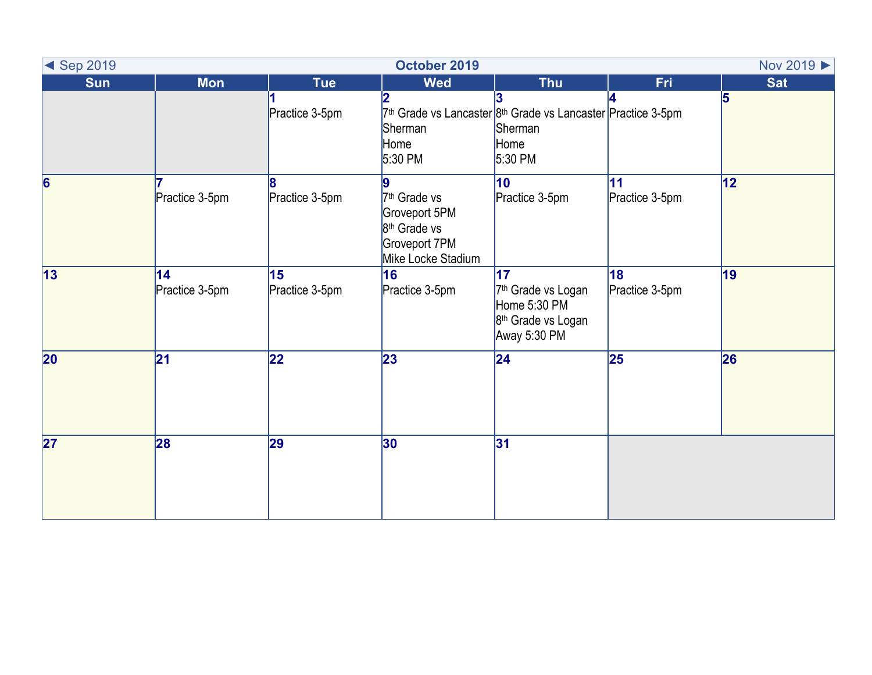| <b>Example 3 Sep 2019</b> |                      |                      | October 2019                                                                                                      | Nov 2019 >                                                                                                         |                             |                |
|---------------------------|----------------------|----------------------|-------------------------------------------------------------------------------------------------------------------|--------------------------------------------------------------------------------------------------------------------|-----------------------------|----------------|
| <b>Sun</b>                | <b>Mon</b>           | Tue                  | <b>Wed</b>                                                                                                        | <b>Thu</b>                                                                                                         | <b>Fri</b>                  | <b>Sat</b>     |
|                           |                      | Practice 3-5pm       | Sherman<br>Home<br>5:30 PM                                                                                        | 7 <sup>th</sup> Grade vs Lancaster 8 <sup>th</sup> Grade vs Lancaster Practice 3-5pm<br>Sherman<br>Home<br>5:30 PM |                             | $\overline{5}$ |
| $\overline{6}$            | Practice 3-5pm       | Practice 3-5pm       | 9<br>7 <sup>th</sup> Grade vs<br>Groveport 5PM<br>8 <sup>th</sup> Grade vs<br>Groveport 7PM<br>Mike Locke Stadium | $\overline{10}$<br>Practice 3-5pm                                                                                  | <b>11</b><br>Practice 3-5pm | 12             |
| $\overline{13}$           | 14<br>Practice 3-5pm | 15<br>Practice 3-5pm | 16<br>Practice 3-5pm                                                                                              | 17<br>7 <sup>th</sup> Grade vs Logan<br>Home 5:30 PM<br>8 <sup>th</sup> Grade vs Logan<br>Away 5:30 PM             | 18<br>Practice 3-5pm        | 19             |
| $\overline{20}$           | 21                   | $\overline{22}$      | 23                                                                                                                | $\overline{24}$                                                                                                    | $\overline{25}$             | 26             |
| $\overline{27}$           | 28                   | 29                   | 30                                                                                                                | 31                                                                                                                 |                             |                |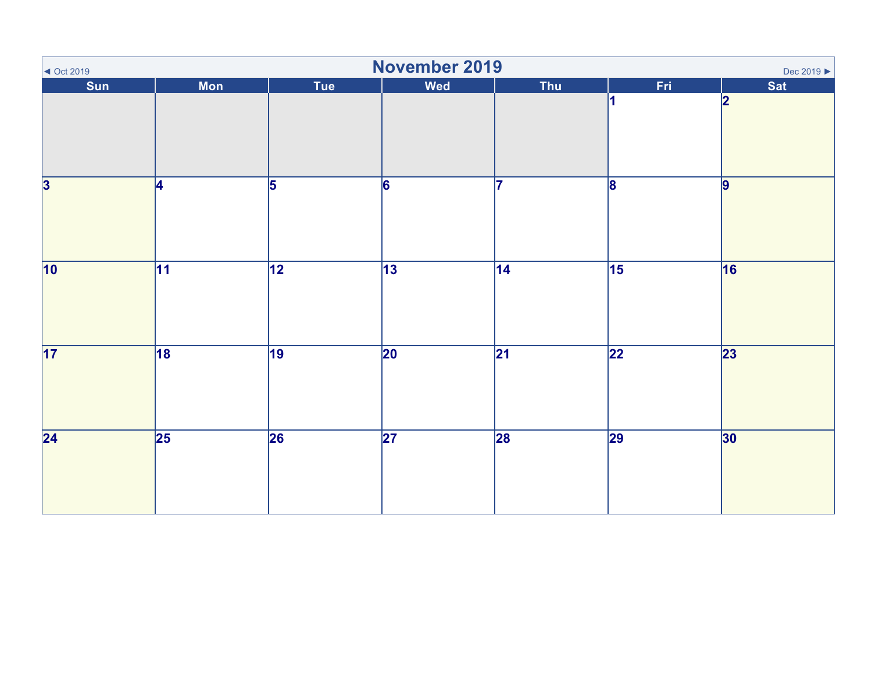| $\sim$ Oct 2019           | November 2019<br>Dec 2019 ▶ |                 |                 |                 |                 |                         |  |  |  |
|---------------------------|-----------------------------|-----------------|-----------------|-----------------|-----------------|-------------------------|--|--|--|
| Sun                       | <b>Mon</b>                  | Tue             | <b>Wed</b>      | Thu             | Fri             | <b>Sat</b>              |  |  |  |
|                           |                             |                 |                 |                 |                 | $\overline{\mathbf{2}}$ |  |  |  |
| $\overline{\overline{3}}$ | 4                           | $\overline{5}$  | $\overline{6}$  | 17              | $\overline{8}$  | $\overline{9}$          |  |  |  |
| 10                        | $\overline{11}$             | $\overline{12}$ | $\overline{13}$ | $\overline{14}$ | $\overline{15}$ | 16                      |  |  |  |
| 17                        | 18                          | 19              | $\overline{20}$ | $\overline{21}$ | $\overline{22}$ | $\overline{23}$         |  |  |  |
| $\overline{24}$           | $\overline{25}$             | 26              | $\overline{27}$ | 28              | $\overline{29}$ | 30                      |  |  |  |